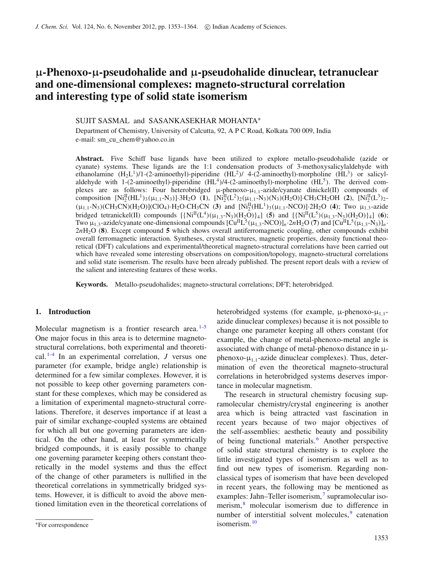# µ**-Phenoxo-**µ**-pseudohalide and** µ**-pseudohalide dinuclear, tetranuclear and one-dimensional complexes: magneto-structural correlation and interesting type of solid state isomerism**

## SUJIT SASMAL and SASANKASEKHAR MOHANTA<sup>∗</sup>

Department of Chemistry, University of Calcutta, 92, A P C Road, Kolkata 700 009, India e-mail: sm\_cu\_chem@yahoo.co.in

**Abstract.** Five Schiff base ligands have been utilized to explore metallo-pseudohalide (azide or cyanate) systems. These ligands are the 1:1 condensation products of 3-methoxysalicylaldehyde with ethanolamine  $(H_2L^1)/1$ -(2-aminoethyl)-piperidine  $(HL^2)/4$ -(2-aminoethyl)-morpholine  $(HL^3)$  or salicylaldehyde with 1-(2-aminoethyl)-piperidine  $(HL<sup>4</sup>)/4$ -(2-aminoethyl)-morpholine  $(HL<sup>5</sup>)$ . The derived complexes are as follows: Four heterobridged  $\mu$ -phenoxo- $\mu_{1,1}$ -azide/cyanate dinickel(II) compounds of composition  $[Ni_2^{\text{II}}(HL^1)_3(\mu_{1,1}-N_3)] \cdot 3H_2O$  (1),  $[Ni_2^{\text{II}}(L^2)_2(\mu_{1,1}-N_3)(N_3)(H_2O)] \cdot CH_3CH_2OH$  (2),  $[Ni_2^{\text{II}}(L^3)_2 (\mu_{1,1} - N_3)(CH_3CN)(H_2O)[ClO_4) \cdot H_2O \cdot CH_3CN$  (3) and  $[Ni_2^H(HL^1)_3(\mu_{1,1} - NCO)] \cdot 2H_2O$  (4); Two  $\mu_{1,3}$ -azide bridged tetranickel(II) compounds  $[\{Ni^{II}(L^4)(\mu_{1,3}-N_3)(H_2O)\}_4]$  (5) and  $[\{Ni^{II}(L^5)(\mu_{1,3}-N_3)(H_2O)\}_4]$  (6); Two  $\mu_{1,3}$ -azide/cyanate one-dimensional compounds  $[Cu^{II}L^{5}(\mu_{1,3}NCO)]_n \cdot 2nH_2O(7)$  and  $[Cu^{II}L^{5}(\mu_{1,3}N_3)]_n \cdot$ 2*n*H2O (**8**). Except compound **5** which shows overall antiferromagnetic coupling, other compounds exhibit overall ferromagnetic interaction. Syntheses, crystal structures, magnetic properties, density functional theoretical (DFT) calculations and experimental/theoretical magneto-structural correlations have been carried out which have revealed some interesting observations on composition/topology, magneto-structural correlations and solid state isomerism. The results have been already published. The present report deals with a review of the salient and interesting features of these works.

**Keywords.** Metallo-pseudohalides; magneto-structural correlations; DFT; heterobridged.

## **1. Introduction**

Molecular magnetism is a frontier research area. $1-5$ One major focus in this area is to determine magnetostructural correlations, both experimental and theoretical. 1–4 In an experimental correlation, *J* versus one parameter (for example, bridge angle) relationship is determined for a few similar complexes. However, it is not possible to keep other governing parameters constant for these complexes, which may be considered as a limitation of experimental magneto-structural correlations. Therefore, it deserves importance if at least a pair of similar exchange-coupled systems are obtained for which all but one governing parameters are identical. On the other hand, at least for symmetrically bridged compounds, it is easily possible to change one governing parameter keeping others constant theoretically in the model systems and thus the effect of the change of other parameters is nullified in the theoretical correlations in symmetrically bridged systems. However, it is difficult to avoid the above mentioned limitation even in the theoretical correlations of

heterobridged systems (for example,  $\mu$ -phenoxo- $\mu_{1,1}$ azide dinuclear complexes) because it is not possible to change one parameter keeping all others constant (for example, the change of metal-phenoxo-metal angle is associated with change of metal-phenoxo distance in µphenoxo- $\mu_{1,1}$ -azide dinuclear complexes). Thus, determination of even the theoretical magneto-structural correlations in heterobridged systems deserves importance in molecular magnetism.

The research in structural chemistry focusing supramolecular chemistry/crystal engineering is another area which is being attracted vast fascination in recent years because of two major objectives of the self-assemblies: aesthetic beauty and possibility of being functional materials. <sup>6</sup> Another perspective of solid state structural chemistry is to explore the little investigated types of isomerism as well as to find out new types of isomerism. Regarding nonclassical types of isomerism that have been developed in recent years, the following may be mentioned as examples: Jahn–Teller isomerism,<sup>7</sup> supramolecular isomerism,<sup>8</sup> molecular isomerism due to difference in number of interstitial solvent molecules,<sup>9</sup> catenation isomerism. <sup>10</sup>

<sup>∗</sup>For correspondence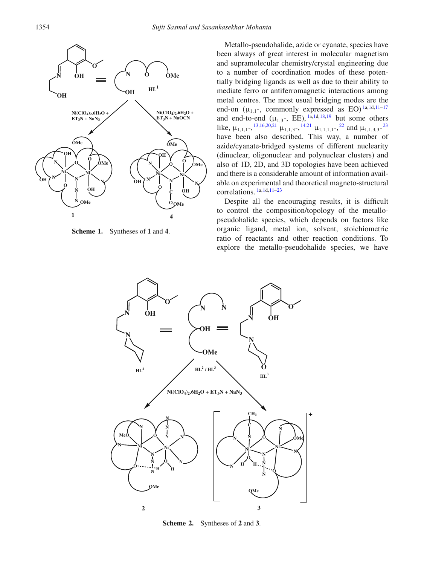

**Scheme 1.** Syntheses of **1** and **4**.

Metallo-pseudohalide, azide or cyanate, species have been always of great interest in molecular magnetism and supramolecular chemistry/crystal engineering due to a number of coordination modes of these potentially bridging ligands as well as due to their ability to mediate ferro or antiferromagnetic interactions among metal centres. The most usual bridging modes are the end-on  $(\mu_{1,1}$ -, commonly expressed as EO)<sup>1a,1d,11-17</sup> and end-to-end  $(\mu_{1,3}$ -, EE),  $1a,1d,18,19$  but some others like,  $\mu_{1,1,1}$ ,  $\frac{13,16,20,21}{1}, \mu_{1,1,3}$ ,  $\frac{14,21}{1}, \mu_{1,1,1,1}$ ,  $\frac{22}{1}, \mu_{1,1,3,3}$ ,  $\frac{23}{1}$ have been also described. This way, a number of azide/cyanate-bridged systems of different nuclearity (dinuclear, oligonuclear and polynuclear clusters) and also of 1D, 2D, and 3D topologies have been achieved and there is a considerable amount of information available on experimental and theoretical magneto-structural correlations. 1a,1d,11–23

Despite all the encouraging results, it is difficult to control the composition/topology of the metallopseudohalide species, which depends on factors like organic ligand, metal ion, solvent, stoichiometric ratio of reactants and other reaction conditions. To explore the metallo-pseudohalide species, we have



**Scheme 2.** Syntheses of **2** and **3**.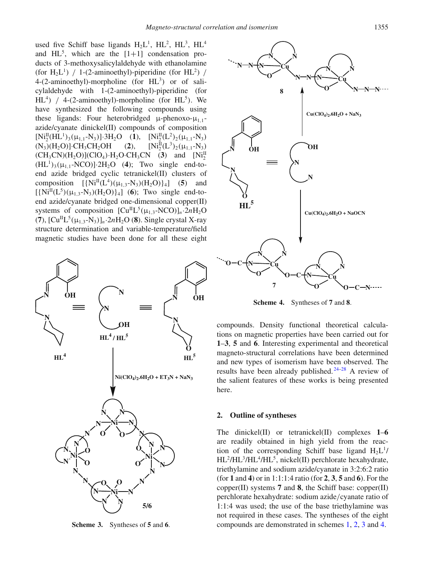used five Schiff base ligands  $H_2L^1$ ,  $HL^2$ ,  $HL^3$ ,  $HL^4$ and  $HL^5$ , which are the  $[1+1]$  condensation products of 3-methoxysalicylaldehyde with ethanolamine (for  $H_2L^1$ ) / 1-(2-aminoethyl)-piperidine (for  $HL^2$ ) /  $4-(2\text{-aminoethyl})$ -morpholine (for  $HL^3$ ) or of salicylaldehyde with 1-(2-aminoethyl)-piperidine (for  $HL^4$ ) / 4-(2-aminoethyl)-morpholine (for  $HL^5$ ). We have synthesized the following compounds using these ligands: Four heterobridged  $\mu$ -phenoxo- $\mu$ <sub>1,1</sub>azide/cyanate dinickel(II) compounds of composition  $[Ni_2^{\text{II}}(HL^1)_3(\mu_{1,1}-N_3)]\cdot 3H_2O$  (1),  $[Ni_2^{\text{II}}(L^2)_2(\mu_{1,1}-N_3)]$  $(N_3)(H_2O)$ ]·CH<sub>3</sub>CH<sub>2</sub>OH (2),  $_{2}^{\text{II}}(\text{L}^3)_{2}(\mu_{1,1}\text{-N}_3)$  $(CH_3CN)(H_2O)$ ](ClO<sub>4</sub>)·H<sub>2</sub>O·CH<sub>3</sub>CN (3) and [Ni<sub>2</sub><sup>1</sup>]  $(HL<sup>1</sup>)<sub>3</sub>(\mu<sub>1,1</sub>-NCO)]·2H<sub>2</sub>O$  (4); Two single end-toend azide bridged cyclic tetranickel(II) clusters of composition  $[\{Ni^{II}(L^4)(\mu_{1,3}-N_3)(H_2O)\}_4]$  (5) and  $[\{Ni^{II}(L^5)(\mu_{1,3}-N_3)(H_2O)\}_4]$  (6); Two single end-toend azide/cyanate bridged one-dimensional copper(II) systems of composition  $[Cu^{II}L^{5}(\mu_{1,3}-NCO)]_n \cdot 2nH_2O$  $(7)$ ,  $[Cu^{II}L^{5}(\mu_{1,3}-N_{3})]_{n}$   $\cdot 2nH_{2}O(8)$ . Single crystal X-ray structure determination and variable-temperature/field magnetic studies have been done for all these eight



**Scheme 3.** Syntheses of **5** and **6**.



**Scheme 4.** Syntheses of **7** and **8**.

compounds. Density functional theoretical calculations on magnetic properties have been carried out for **1**–**3**, **5** and **6**. Interesting experimental and theoretical magneto-structural correlations have been determined and new types of isomerism have been observed. The results have been already published. 24–28 A review of the salient features of these works is being presented here.

#### **2. Outline of syntheses**

The dinickel(II) or tetranickel(II) complexes **1**–**6** are readily obtained in high yield from the reaction of the corresponding Schiff base ligand  $H_2L^1$ / HL<sup>2</sup>/HL<sup>3</sup>/HL<sup>4</sup>/HL<sup>5</sup>, nickel(II) perchlorate hexahydrate, triethylamine and sodium azide/cyanate in 3:2:6:2 ratio (for **1** and **4**) or in 1:1:1:4 ratio (for **2**, **3**, **5** and **6**). For the copper(II) systems **7** and **8**, the Schiff base: copper(II) perchlorate hexahydrate: sodium azide/cyanate ratio of 1:1:4 was used; the use of the base triethylamine was not required in these cases. The syntheses of the eight compounds are demonstrated in schemes 1, 2, 3 and 4.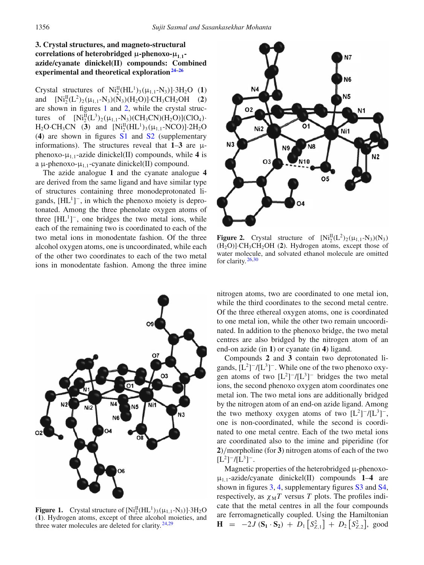# **3. Crystal structures, and magneto-structural correlations of heterobridged** µ**-phenoxo-**µ**<sup>1</sup>**,**<sup>1</sup> azide/cyanate dinickel(II) compounds: Combined experimental and theoretical exploration24–26**

Crystal structures of  $Ni_2^{\text{II}}(HL^1)_3(\mu_{1,1}-N_3)$ ]·3H<sub>2</sub>O (1) and  $[Ni_2^{\text{II}}(L^2)_2(\mu_{1,1}-N_3)(N_3)(H_2O)]$ ·CH<sub>3</sub>CH<sub>2</sub>OH (2) are shown in figures 1 and 2, while the crystal structures of  $[Ni_2^{\text{II}}(L^3)_2(\mu_{1,1}-N_3)(CH_3CN)(H_2O)](ClO_4)$ .  $H_2O \cdot CH_3CN$  (3) and  $[Ni_2^{\text{II}}(HL^1)_3(\mu_{1,1} - NCO)] \cdot 2H_2O$ (**4**) are shown in figures S1 and S2 (supplementary informations). The structures reveal that  $1-3$  are  $\mu$ phenoxo- $\mu_{1,1}$ -azide dinickel(II) compounds, while 4 is a  $\mu$ -phenoxo- $\mu$ <sub>1,1</sub>-cyanate dinickel(II) compound.

The azide analogue **1** and the cyanate analogue **4** are derived from the same ligand and have similar type of structures containing three monodeprotonated ligands,  $[HL^1]^-$ , in which the phenoxo moiety is deprotonated. Among the three phenolate oxygen atoms of three  $[HL^1]^-$ , one bridges the two metal ions, while each of the remaining two is coordinated to each of the two metal ions in monodentate fashion. Of the three alcohol oxygen atoms, one is uncoordinated, while each of the other two coordinates to each of the two metal ions in monodentate fashion. Among the three imine



**Figure 1.** Crystal structure of  $[Ni_2^{\text{II}}(HL^1)_3(\mu_{1,1}-N_3)] \cdot 3H_2O$ (**1**). Hydrogen atoms, except of three alcohol moieties, and three water molecules are deleted for clarity.  $24,29$ 



**Figure 2.** Crystal structure of  $[Ni_2^{\text{II}}(L^2)_2(\mu_{1,1}-N_3)(N_3)$ (H2O)]·CH3CH2OH (**2**). Hydrogen atoms, except those of water molecule, and solvated ethanol molecule are omitted for clarity. 26,30

nitrogen atoms, two are coordinated to one metal ion, while the third coordinates to the second metal centre. Of the three ethereal oxygen atoms, one is coordinated to one metal ion, while the other two remain uncoordinated. In addition to the phenoxo bridge, the two metal centres are also bridged by the nitrogen atom of an end-on azide (in **1**) or cyanate (in **4**) ligand.

Compounds **2** and **3** contain two deprotonated ligands,  $[L^2]^{-}/[L^3]^{-}$ . While one of the two phenoxo oxygen atoms of two  $[L^2]^{-}/[L^3]^{-}$  bridges the two metal ions, the second phenoxo oxygen atom coordinates one metal ion. The two metal ions are additionally bridged by the nitrogen atom of an end-on azide ligand. Among the two methoxy oxygen atoms of two  $[L^2]^{-}/[L^3]^{-}$ , one is non-coordinated, while the second is coordinated to one metal centre. Each of the two metal ions are coordinated also to the imine and piperidine (for **2**)/morpholine (for **3**) nitrogen atoms of each of the two  $[L^2]$ <sup>-</sup>/[ $L^3$ ]<sup>-</sup>.

Magnetic properties of the heterobridged  $\mu$ -phenoxo- $\mu_{1,1}$ -azide/cyanate dinickel(II) compounds **1–4** are shown in figures 3, 4, supplementary figures S3 and S4, respectively, as  $\chi_M T$  versus *T* plots. The profiles indicate that the metal centres in all the four compounds are ferromagnetically coupled. Using the Hamiltonian **H** = −2*J* ( $S_1 \cdot S_2$ ) + *D*<sub>1</sub>  $[S_{Z,1}^2]$  + *D*<sub>2</sub>  $[S_{Z,2}^2]$ , good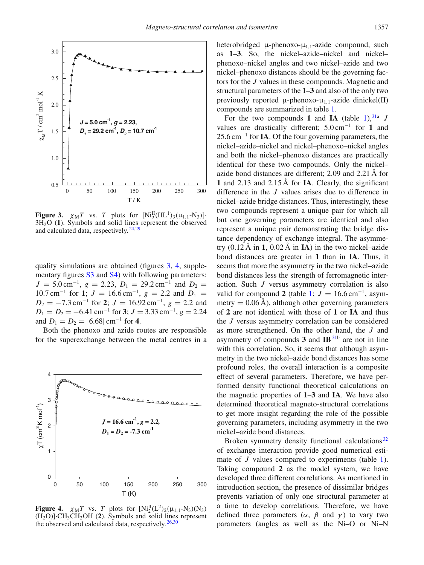

**Figure 3.**  $\chi_M T$  vs. *T* plots for  $[Ni_2^H(HL^1)_3(\mu_{1,1}-N_3)]$ . 3H2O (**1**). Symbols and solid lines represent the observed and calculated data, respectively. 24,29

quality simulations are obtained (figures 3, 4, supplementary figures S3 and S4) with following parameters:  $J = 5.0 \text{ cm}^{-1}$ ,  $g = 2.23$ ,  $D_1 = 29.2 \text{ cm}^{-1}$  and  $D_2 =$  $10.7 \text{ cm}^{-1}$  for **1**;  $J = 16.6 \text{ cm}^{-1}$ ,  $g = 2.2$  and  $D_1 =$  $D_2 = -7.3 \text{ cm}^{-1}$  for **2**;  $J = 16.92 \text{ cm}^{-1}$ ,  $g = 2.2$  and  $D_1 = D_2 = -6.41$  cm<sup>-1</sup> for **3**;  $J = 3.33$  cm<sup>-1</sup>,  $g = 2.24$ and  $D_1 = D_2 = |6.68| \text{ cm}^{-1}$  for 4.

Both the phenoxo and azide routes are responsible for the superexchange between the metal centres in a



**Figure 4.**  $\chi_M T$  vs. *T* plots for  $[Ni_2^H(L^2)_2(\mu_{1,1}-N_3)(N_3)$  $(H_2O)$ ]·CH<sub>3</sub>CH<sub>2</sub>OH (2). Symbols and solid lines represent the observed and calculated data, respectively.  $26,30$ 

heterobridged  $\mu$ -phenoxo- $\mu$ <sub>1,1</sub>-azide compound, such as **1**–**3**. So, the nickel–azide–nickel and nickel– phenoxo–nickel angles and two nickel–azide and two nickel–phenoxo distances should be the governing factors for the *J* values in these compounds. Magnetic and structural parameters of the **1**–**3** and also of the only two previously reported  $\mu$ -phenoxo- $\mu_{1,1}$ -azide dinickel(II) compounds are summarized in table 1.

For the two compounds 1 and IA (table  $1$ ), <sup>31a</sup> *J* values are drastically different; 5.0 cm<sup>−</sup><sup>1</sup> for **1** and 25.6 cm<sup>−</sup><sup>1</sup> for **IA**. Of the four governing parameters, the nickel–azide–nickel and nickel–phenoxo–nickel angles and both the nickel–phenoxo distances are practically identical for these two compounds. Only the nickel– azide bond distances are different; 2.09 and 2.21 Å for **1** and 2.13 and 2.15 Å for **IA**. Clearly, the significant difference in the *J* values arises due to difference in nickel–azide bridge distances. Thus, interestingly, these two compounds represent a unique pair for which all but one governing parameters are identical and also represent a unique pair demonstrating the bridge distance dependency of exchange integral. The asymmetry (0.12 Å in **1**, 0.02 Å in **IA**) in the two nickel–azide bond distances are greater in **1** than in **IA**. Thus, it seems that more the asymmetry in the two nickel–azide bond distances less the strength of ferromagnetic interaction. Such *J* versus asymmetry correlation is also valid for compound 2 (table 1;  $J = 16.6 \text{ cm}^{-1}$ , asymmetry  $= 0.06$  Å), although other governing parameters of **2** are not identical with those of **1** or **IA** and thus the *J* versus asymmetry correlation can be considered as more strengthened. On the other hand, the *J* and asymmetry of compounds **3** and **IB**31b are not in line with this correlation. So, it seems that although asymmetry in the two nickel–azide bond distances has some profound roles, the overall interaction is a composite effect of several parameters. Therefore, we have performed density functional theoretical calculations on the magnetic properties of **1**–**3** and **IA**. We have also determined theoretical magneto-structural correlations to get more insight regarding the role of the possible governing parameters, including asymmetry in the two nickel–azide bond distances.

Broken symmetry density functional calculations<sup>32</sup> of exchange interaction provide good numerical estimate of *J* values compared to experiments (table 1). Taking compound **2** as the model system, we have developed three different correlations. As mentioned in introduction section, the presence of dissimilar bridges prevents variation of only one structural parameter at a time to develop correlations. Therefore, we have defined three parameters  $(\alpha, \beta \text{ and } \gamma)$  to vary two parameters (angles as well as the Ni–O or Ni–N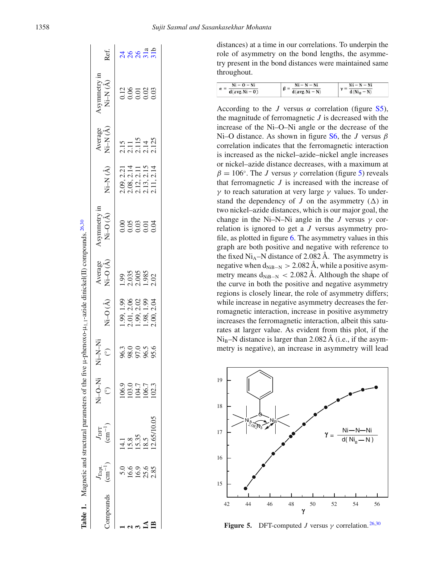|          |                                         | Table 1. Magnetic and structural parameters of the five µ-pheno |                                                                          |                      |                                                                    | oxo-μ <sub>1.1</sub> -azide dinickel(II) compounds. <sup>26,30</sup> |                               |                                                                    |                                 |                              |               |               |
|----------|-----------------------------------------|-----------------------------------------------------------------|--------------------------------------------------------------------------|----------------------|--------------------------------------------------------------------|----------------------------------------------------------------------|-------------------------------|--------------------------------------------------------------------|---------------------------------|------------------------------|---------------|---------------|
| ompounds | $J_{\rm{Expt.}}$<br>(cm <sup>-1</sup> ) | $\left(\text{cm}^{-1}\right)$<br>J <sub>DFT</sub>               | <b>IN-N-IN IN-0-IN</b><br>$\odot$                                        | $\odot$              | $Vi-O(A)$                                                          | Average<br>Vi-O(Å)                                                   | $Ni-O(A)$<br><b>Asymmetry</b> | Vi-N(Å)                                                            | vi-N(Å)<br>Average              | symmetry ir<br>Vi-N(A)       | Ref.          |               |
|          |                                         |                                                                 |                                                                          |                      |                                                                    |                                                                      |                               |                                                                    |                                 |                              |               |               |
|          |                                         |                                                                 |                                                                          |                      |                                                                    |                                                                      |                               |                                                                    |                                 |                              |               |               |
|          | 5.0<br>16.9<br>16.9<br>2.85             | 14.1<br>15.8<br>15.35<br>18.5<br>12.65/10.05                    | $\begin{array}{r} 106.9 \\ 103.0 \\ 104.7 \\ 106.3 \\ 102.3 \end{array}$ | 980.98.6<br>980.98.9 |                                                                    | 1.99<br>2.035<br>2.005<br>2.02                                       |                               |                                                                    |                                 | 12<br>0.000<br>0.000<br>0.00 |               |               |
|          |                                         |                                                                 |                                                                          |                      |                                                                    |                                                                      |                               |                                                                    |                                 |                              |               |               |
|          |                                         |                                                                 |                                                                          |                      | 1.99, 1.99<br>2.01, 2.06<br>1.99, 2.02<br>1.98, 1.99<br>1.98, 2.04 |                                                                      |                               | 2.09, 2.21<br>2.08, 2.11<br>2.12, 2.15<br>2.13, 2.13<br>2.11, 2.14 | 2.15<br>2.115<br>2.114<br>2.125 |                              | ងនន្ត<br>ងន្ត | $\mathcal{S}$ |

 16.9 15.35 104.7 97.0 1.99, 2.02 2.005 0.03 2.12, 2.11 2.115 0.01 26 **IA** 25.6 18.5 106.7 96.5 1.98, 1.985 0.01 2.13, 2.14 0.02 31a<br>more in een in de de de de de de de de de la provincia de la provincia de la provincia de la provincia de la p **IB** 2.85 12.65/10.05 102.3 95.6 2.00, 2.02 0.04 2.11, 2.14 2.125 0.03 31 distances) at a time in our correlations. To underpin the role of asymmetry on the bond lengths, the asymmetry present in the bond distances were maintained same throughout.

| $Ni - N - Ni$ |
|---------------|
| $d(Ni_B-N)$   |
|               |

According to the *J* versus  $\alpha$  correlation (figure S5), the magnitude of ferromagnetic *J* is decreased with the increase of the Ni–O–Ni angle or the decrease of the Ni–O distance. As shown in figure S6, the *J* versus  $\beta$ correlation indicates that the ferromagnetic interaction is increased as the nickel–azide–nickel angle increases or nickel–azide distance decreases, with a maximum at  $\beta = 106^\circ$ . The *J* versus  $\gamma$  correlation (figure 5) reveals that ferromagnetic *J* is increased with the increase of γ to reach saturation at very large γ values. To understand the dependency of *J* on the asymmetry  $(\Delta)$  in two nickel–azide distances, which is our major goal, the change in the Ni–N–Ni angle in the *J* versus  $\gamma$  correlation is ignored to get a *J* versus asymmetry profile, as plotted in figure 6. The asymmetry values in this graph are both positive and negative with reference to the fixed  $Ni_A-N$  distance of 2.082 Å. The asymmetry is negative when  $d_{NiB-N} > 2.082$  Å, while a positive asymmetry means  $d_{NiB-N} < 2.082$  Å. Although the shape of the curve in both the positive and negative asymmetry regions is closely linear, the role of asymmetry differs; while increase in negative asymmetry decreases the ferromagnetic interaction, increase in positive asymmetry increases the ferromagnetic interaction, albeit this saturates at larger value. As evident from this plot, if the  $Ni<sub>B</sub>–N$  distance is larger than 2.082 Å (i.e., if the asymmetry is negative), an increase in asymmetry will lead



**Figure 5.** DFT-computed *J* versus  $\gamma$  correlation. <sup>26,30</sup>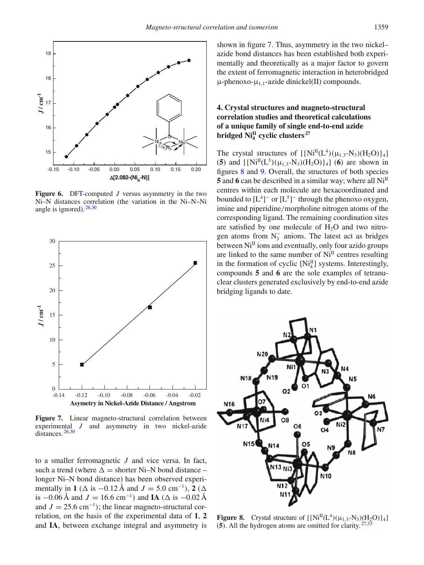

**Figure 6.** DFT-computed *J* versus asymmetry in the two Ni–N distances correlation (the variation in the Ni–N–Ni angle is ignored).  $26,30$ 



**Figure 7.** Linear magneto-structural correlation between experimental *J* and asymmetry in two nickel-azide distances. 26,30

to a smaller ferromagnetic *J* and vice versa. In fact, such a trend (where  $\Delta =$  shorter Ni–N bond distance – longer Ni–N bond distance) has been observed experimentally in **1** ( $\Delta$  is  $-0.12 \text{ Å}$  and  $J = 5.0 \text{ cm}^{-1}$ ), **2** ( $\Delta$ is  $-0.06 \text{ Å}$  and  $J = 16.6 \text{ cm}^{-1}$ ) and **IA** ( $\Delta$  is  $-0.02 \text{ Å}$ and  $J = 25.6$  cm<sup>-1</sup>); the linear magneto-structural correlation, on the basis of the experimental data of **1**, **2** and **IA**, between exchange integral and asymmetry is shown in figure 7. Thus, asymmetry in the two nickel– azide bond distances has been established both experimentally and theoretically as a major factor to govern the extent of ferromagnetic interaction in heterobridged  $\mu$ -phenoxo- $\mu_{1,1}$ -azide dinickel(II) compounds.

# **4. Crystal structures and magneto-structural correlation studies and theoretical calculations of a unique family of single end-to-end azide bridged NiII 4 cyclic clusters <sup>27</sup>**

The crystal structures of  $[\{Ni^{II}(L^4)(\mu_{1,3}-N_3)(H_2O)\}_4]$ (5) and  $[\{Ni^{II}(L^5)(\mu_{1,3}-N_3)(H_2O)\}_4]$  (6) are shown in figures 8 and 9. Overall, the structures of both species **5** and **6** can be described in a similar way; where all Ni<sup>II</sup> centres within each molecule are hexacoordinated and bounded to  $[L^4]$ <sup>-</sup> or  $[L^5]$ <sup>-</sup> through the phenoxo oxygen, imine and piperidine/morpholine nitrogen atoms of the corresponding ligand. The remaining coordination sites are satisfied by one molecule of  $H_2O$  and two nitrogen atoms from  $N_3^-$  anions. The latest act as bridges between  $Ni<sup>II</sup>$  ions and eventually, only four azido groups are linked to the same number of  $Ni<sup>II</sup>$  centres resulting in the formation of cyclic  $[Ni_4^{\text{II}}]$  systems. Interestingly, compounds **5** and **6** are the sole examples of tetranuclear clusters generated exclusively by end-to-end azide bridging ligands to date.



**Figure 8.** Crystal structure of  $[\{Ni^{II}(L^4)(\mu_{1,3}-N_3)(H_2O)\}_4]$ (**5**). All the hydrogen atoms are omitted for clarity. 27,33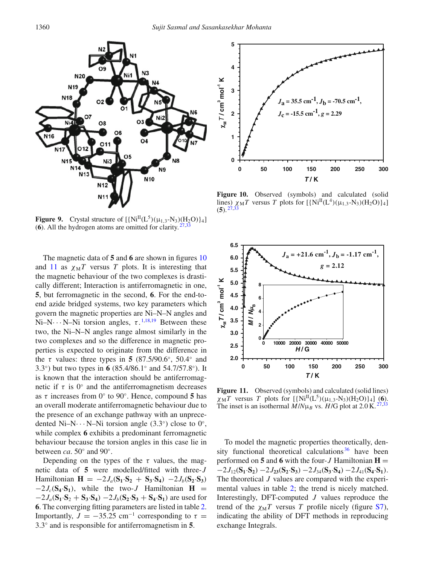

**Figure 9.** Crystal structure of  $[\{Ni^{II}(L^5)(\mu_{1,3}-N_3)(H_2O)\}_4]$ (6). All the hydrogen atoms are omitted for clarity.  $27,33$ 

The magnetic data of **5** and **6** are shown in figures 10 and 11 as  $\chi_M T$  versus *T* plots. It is interesting that the magnetic behaviour of the two complexes is drastically different; Interaction is antiferromagnetic in one, **5**, but ferromagnetic in the second, **6**. For the end-toend azide bridged systems, two key parameters which govern the magnetic properties are Ni–N–N angles and Ni–N··· N–Ni torsion angles,  $\tau$ .<sup>1,18,19</sup> Between these two, the Ni–N–N angles range almost similarly in the two complexes and so the difference in magnetic properties is expected to originate from the difference in the  $\tau$  values: three types in **5** (87.5/90.6°, 50.4° and 3.3◦ ) but two types in **6** (85.4/86.1◦ and 54.7/57.8◦ ). It is known that the interaction should be antiferromagnetic if  $\tau$  is 0 $\degree$  and the antiferromagnetism decreases as  $\tau$  increases from 0 $\degree$  to 90 $\degree$ . Hence, compound 5 has an overall moderate antiferromagnetic behaviour due to the presence of an exchange pathway with an unprecedented Ni–N··· N–Ni torsion angle  $(3.3°)$  close to 0°, while complex **6** exhibits a predominant ferromagnetic behaviour because the torsion angles in this case lie in between *ca*.  $50^\circ$  and  $90^\circ$ .

Depending on the types of the  $\tau$  values, the magnetic data of **5** were modelled/fitted with three-*J* Hamiltonian  $\mathbf{H} = -2J_a(\mathbf{S}_1 \cdot \mathbf{S}_2 + \mathbf{S}_3 \cdot \mathbf{S}_4) -2J_b(\mathbf{S}_2 \cdot \mathbf{S}_3)$  $-2J_c(\mathbf{S}_4 \cdot \mathbf{S}_1)$ , while the two-*J* Hamiltonian **H** =  $-2J_a(S_1 \cdot S_2 + S_3 \cdot S_4) -2J_b(S_2 \cdot S_3 + S_4 \cdot S_1)$  are used for **6**. The converging fitting parameters are listed in table 2. Importantly,  $J = -35.25$  cm<sup>-1</sup> corresponding to  $\tau =$ 3.3◦ and is responsible for antiferromagnetism in **5**.



Figure 10. Observed (symbols) and calculated (solid lines)  $\chi_M T$  versus *T* plots for  $[\{Ni^{II}(L^4)(\mu_{1,3}-N_3)(H_2O)\}_4]$  $(5).^{27,33}$ 



Figure 11. Observed (symbols) and calculated (solid lines)  $\chi_M T$  versus *T* plots for  $[\{Ni^{II}(L^5)(\mu_{1,3}-N_3)(H_2O)\}_4]$  (6). The inset is an isothermal  $M/N\mu_B$  vs.  $H/G$  plot at 2.0 K. <sup>27,33</sup>

To model the magnetic properties theoretically, density functional theoretical calculations  $36$  have been performed on 5 and 6 with the four- $J$  Hamiltonian  $H =$  $-2J_{12}(\mathbf{S}_1 \cdot \mathbf{S}_2) -2J_{23}(\mathbf{S}_2 \cdot \mathbf{S}_3) -2J_{34}(\mathbf{S}_3 \cdot \mathbf{S}_4) -2J_{41}(\mathbf{S}_4 \cdot \mathbf{S}_1).$ The theoretical *J* values are compared with the experimental values in table 2; the trend is nicely matched. Interestingly, DFT-computed *J* values reproduce the trend of the  $\chi_M T$  versus *T* profile nicely (figure S7), indicating the ability of DFT methods in reproducing exchange Integrals.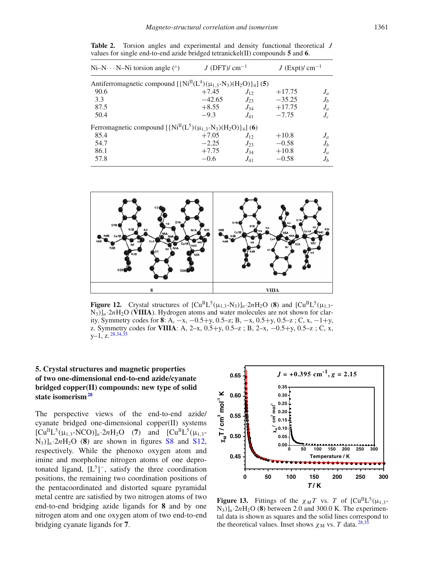| $Ni-N \cdot N-Ni$ torsion angle (°)                                        | $J$ (DFT)/ cm <sup>-1</sup> |          | $J$ (Expt)/ cm <sup>-1</sup> |       |
|----------------------------------------------------------------------------|-----------------------------|----------|------------------------------|-------|
| Antiferromagnetic compound $[\{Ni^{II}(L^4)(\mu_{1,3}-N_3)(H_2O)\}_4]$ (5) |                             |          |                              |       |
| 90.6                                                                       | $+7.45$                     | $J_{12}$ | $+17.75$                     | $J_a$ |
| 3.3                                                                        | $-42.65$                    | $J_{23}$ | $-35.25$                     | $J_b$ |
| 87.5                                                                       | $+8.55$                     | $J_{34}$ | $+17.75$                     | $J_a$ |
| 50.4                                                                       | $-9.3$                      | $J_{41}$ | $-7.75$                      | $J_c$ |
| Ferromagnetic compound $[\{Ni^{II}(L^5)(\mu_{1,3}-N_3)(H_2O)\}_4]$ (6)     |                             |          |                              |       |
| 85.4                                                                       | $+7.05$                     | $J_{12}$ | $+10.8$                      | $J_a$ |
| 54.7                                                                       | $-2.25$                     | $J_{23}$ | $-0.58$                      | $J_b$ |
| 86.1                                                                       | $+7.75$                     | $J_{34}$ | $+10.8$                      | $J_a$ |
| 57.8                                                                       | $-0.6$                      | $J_{41}$ | $-0.58$                      | $J_b$ |

**Table 2.** Torsion angles and experimental and density functional theoretical *J* values for single end-to-end azide bridged tetranickel(II) compounds **5** and **6**.



**Figure 12.** Crystal structures of  $\left[\text{Cu}^{\text{II}}\text{L}^5(\mu_{1,3}-\text{N}_3)\right]_n \cdot 2n\text{H}_2\text{O}$  (8) and  $\left[\text{Cu}^{\text{II}}\text{L}^5(\mu_{1,3}-\text{N}_3)\right]_n \cdot 2n\text{H}_3$  $N_3$ ) $\vert n^2$  $n$ H<sub>2</sub>O (**VIIIA**). Hydrogen atoms and water molecules are not shown for clarity. Symmetry codes for **8**: A, −x, −0.5+y, 0.5–z; B, −x, 0.5+y, 0.5–z ; C, x, −1+y, z. Symmetry codes for **VIIIA**: A, 2–x, 0.5+y, 0.5–z ; B, 2–x, −0.5+y, 0.5–z ; C, x,  $y-1$ , z.  $28,34,35$ 

## **5. Crystal structures and magnetic properties of two one-dimensional end-to-end azide/cyanate bridged copper(II) compounds: new type of solid state isomerism<sup>28</sup>**

The perspective views of the end-to-end azide/ cyanate bridged one-dimensional copper(II) systems  $[Cu^{II}L^{5}(\mu_{1,3}-NCO)]_{n} \cdot 2nH_{2}O$  (7) and  $[Cu^{II}L^{5}(\mu_{1,3}-O)]_{n}$  $N_3$ )<sub>ln</sub>·2*n*H<sub>2</sub>O (8) are shown in figures S8 and S12, respectively. While the phenoxo oxygen atom and imine and morpholine nitrogen atoms of one deprotonated ligand,  $[L^5]$ <sup>-</sup>, satisfy the three coordination positions, the remaining two coordination positions of the pentacoordinated and distorted square pyramidal metal centre are satisfied by two nitrogen atoms of two end-to-end bridging azide ligands for **8** and by one nitrogen atom and one oxygen atom of two end-to-end bridging cyanate ligands for **7**.



**Figure 13.** Fittings of the  $\chi_M T$  vs. *T* of  $\left[ \text{Cu}^{\text{II}} \text{L}^5(\mu_{1,3} \cdot ) \right]$  $N_3$ ]<sub>*n*</sub>·2*n*H<sub>2</sub>O (8) between 2.0 and 300.0 K. The experimental data is shown as squares and the solid lines correspond to the theoretical values. Inset shows  $\chi_M$  vs. *T* data. <sup>28,35</sup>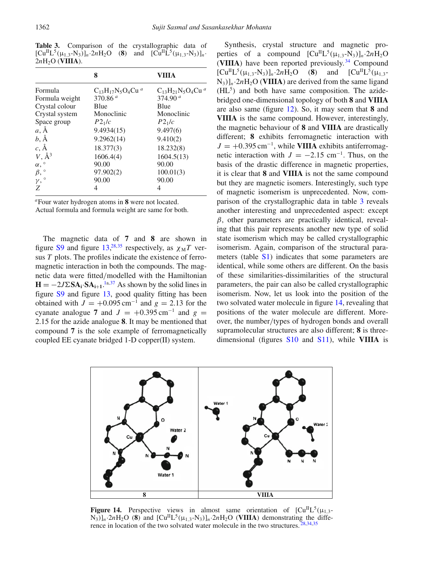Table 3. Comparison of the crystallographic data of  $[Cu^{II}L^{5}(\mu_{1,3}-N_{3})]_{n}\cdot 2nH_{2}O$  (8) and  $[Cu^{II}L^{5}(\mu_{1,3}-N_{3})]_{n}$ .  $2nH<sub>2</sub>O$  (**VIIIA**).

|                       | 8                        | VIIIA                    |
|-----------------------|--------------------------|--------------------------|
| Formula               | $C_{13}H_{17}N_5O_4Cu^a$ | $C_{13}H_{21}N_5O_4Cu^a$ |
| Formula weight        | 370.86 $a$               | 374.90 $a$               |
| Crystal colour        | Blue                     | Blue                     |
| Crystal system        | Monoclinic               | Monoclinic               |
| Space group           | $P2_1/c$                 | $P2_1/c$                 |
| $a, \AA$              | 9.4934(15)               | 9.497(6)                 |
| $b, \AA$              | 9.2962(14)               | 9.410(2)                 |
| $c, \AA$              | 18.377(3)                | 18.232(8)                |
| $V, \AA^3$            | 1606.4(4)                | 1604.5(13)               |
| $\alpha,$ $^{\circ}$  | 90.00                    | 90.00                    |
| $\beta$ , $\circ$     | 97.902(2)                | 100.01(3)                |
| $\gamma$ , $^{\circ}$ | 90.00                    | 90.00                    |
| Ζ                     | 4                        | 4                        |

*<sup>a</sup>*Four water hydrogen atoms in **8** were not located.

Actual formula and formula weight are same for both.

The magnetic data of **7** and **8** are shown in figure S9 and figure  $13,^{28,35}$  respectively, as  $\chi_M T$  versus *T* plots. The profiles indicate the existence of ferromagnetic interaction in both the compounds. The magnetic data were fitted/modelled with the Hamiltonian  $\mathbf{H} = -2J\Sigma \mathbf{SA}_{\mathbf{i}} \cdot \mathbf{SA}_{\mathbf{i+1}}$ .<sup>1a,37</sup> As shown by the solid lines in figure S9 and figure 13, good quality fitting has been obtained with  $J = +0.095$  cm<sup>-1</sup> and  $g = 2.13$  for the cyanate analogue **7** and  $J = +0.395$  cm<sup>-1</sup> and  $g =$ 2.15 for the azide analogue **8**. It may be mentioned that compound **7** is the sole example of ferromagnetically coupled EE cyanate bridged 1-D copper(II) system.

Synthesis, crystal structure and magnetic properties of a compound  $[Cu<sup>H</sup>L<sup>5</sup>( $\mu$ <sub>1,3</sub>- $N$ <sub>3</sub>)]<sub>n</sub>·2*n*H<sub>2</sub>O$ (**VIIIA**) have been reported previously. <sup>34</sup> Compound  $[Cu^{II}L^{5}(\mu_{1,3}-N_{3})]_{n}$  -2*n*H<sub>2</sub>O (8) and  $[Cu^{II}L^{5}(\mu_{1,3}-N_{3})]_{n}$  $N_3$ ]<sub>n</sub>·2*n*H<sub>2</sub>O (VIIIA) are derived from the same ligand (HL<sup>5</sup>) and both have same composition. The azidebridged one-dimensional topology of both **8** and **VIIIA** are also same (figure 12). So, it may seem that **8** and **VIIIA** is the same compound. However, interestingly, the magnetic behaviour of **8** and **VIIIA** are drastically different; **8** exhibits ferromagnetic interaction with  $J = +0.395 \,\text{cm}^{-1}$ , while **VIIIA** exhibits antiferromagnetic interaction with  $J = -2.15$  cm<sup>-1</sup>. Thus, on the basis of the drastic difference in magnetic properties, it is clear that **8** and **VIIIA** is not the same compound but they are magnetic isomers. Interestingly, such type of magnetic isomerism is unprecedented. Now, comparison of the crystallographic data in table 3 reveals another interesting and unprecedented aspect: except  $\beta$ , other parameters are practically identical, revealing that this pair represents another new type of solid state isomerism which may be called crystallographic isomerism. Again, comparison of the structural parameters (table S<sub>1</sub>) indicates that some parameters are identical, while some others are different. On the basis of these similarities-dissimilarities of the structural parameters, the pair can also be called crystallographic isomerism. Now, let us look into the position of the two solvated water molecule in figure 14, revealing that positions of the water molecule are different. Moreover, the number/types of hydrogen bonds and overall supramolecular structures are also different; **8** is threedimensional (figures S10 and S11), while **VIIIA** is



**Figure 14.** Perspective views in almost same orientation of  $\text{[Cu}^{\text{II}}\text{L}^5(\mu_{1,3}-\mu_{1,3})$  $N_3$ )<sup> $]_n$ </sup>·2*n*H<sub>2</sub>O (8) and  $[Cu<sup>II</sup>L<sup>5</sup>(\mu_{1,3}-N_3)]_n$ ·2*n*H<sub>2</sub>O (VIIIA) demonstrating the difference in location of the two solvated water molecule in the two structures.  $28,34,35$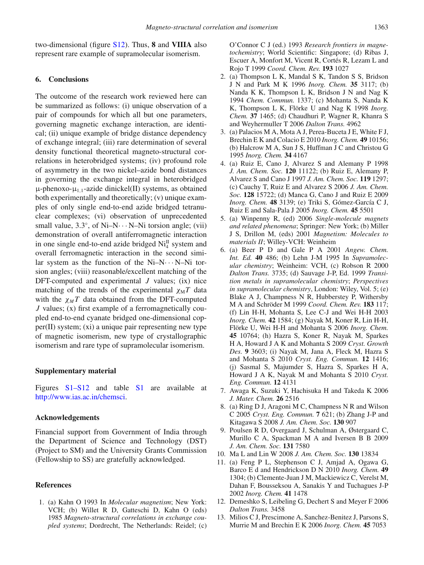two-dimensional (figure S12). Thus, **8** and **VIIIA** also represent rare example of supramolecular isomerism.

## **6. Conclusions**

The outcome of the research work reviewed here can be summarized as follows: (i) unique observation of a pair of compounds for which all but one parameters, governing magnetic exchange interaction, are identical; (ii) unique example of bridge distance dependency of exchange integral; (iii) rare determination of several density functional theoretical magneto-structural correlations in heterobridged systems; (iv) profound role of asymmetry in the two nickel–azide bond distances in governing the exchange integral in heterobridged  $\mu$ -phenoxo- $\mu_{1,1}$ -azide dinickel(II) systems, as obtained both experimentally and theoretically; (v) unique examples of only single end-to-end azide bridged tetranuclear complexes; (vi) observation of unprecedented small value,  $3.3^\circ$ , of Ni–N··· N–Ni torsion angle; (vii) demonstration of overall antiferromagnetic interaction in one single end-to-end azide bridged  $\text{Ni}_{4}^{\text{II}}$  system and overall ferromagnetic interaction in the second similar system as the function of the  $Ni-N\cdots N-Ni$  torsion angles; (viii) reasonable/excellent matching of the DFT-computed and experimental *J* values; (ix) nice matching of the trends of the experimental  $\chi_M T$  data with the  $\chi_M T$  data obtained from the DFT-computed *J* values; (x) first example of a ferromagnetically coupled end-to-end cyanate bridged one-dimensional copper(II) system; (xi) a unique pair representing new type of magnetic isomerism, new type of crystallographic isomerism and rare type of supramolecular isomerism.

### **Supplementary material**

Figures S1–S12 and table S1 are available at http://www.ias.ac.in/chemsci.

### **Acknowledgements**

Financial support from Government of India through the Department of Science and Technology (DST) (Project to SM) and the University Grants Commission (Fellowship to SS) are gratefully acknowledged.

#### **References**

1. (a) Kahn O 1993 In *Molecular magnetism*; New York: VCH; (b) Willet R D, Gatteschi D, Kahn O (eds) 1985 *Magneto-structural correlations in exchange coupled systems*; Dordrecht, The Netherlands: Reidel; (c) O'Connor C J (ed.) 1993 *Research frontiers in magnetochemistry*; World Scientific: Singapore; (d) Ribas J, Escuer A, Monfort M, Vicent R, Cortés R, Lezam L and Rojo T 1999 *Coord. Chem. Rev.* **193** 1027

- 2. (a) Thompson L K, Mandal S K, Tandon S S, Bridson J N and Park M K 1996 *Inorg. Chem.* **35** 3117; (b) Nanda K K, Thompson L K, Bridson J N and Nag K 1994 *Chem. Commun.* 1337; (c) Mohanta S, Nanda K K, Thompson L K, Flörke U and Nag K 1998 *Inorg. Chem.* **37** 1465; (d) Chaudhuri P, Wagner R, Khanra S and Weyhermuller T 2006 *Dalton Trans.* 4962
- 3. (a) Palacios M A, Mota A J, Perea-Buceta J E, White F J, Brechin E K and Colacio E 2010 *Inorg. Chem.* **49** 10156; (b) Halcrow M A, Sun J S, Huffman J C and Christou G 1995 *Inorg. Chem.* **34** 4167
- 4. (a) Ruiz E, Cano J, Alvarez S and Alemany P 1998 *J. Am. Chem. Soc.* **120** 11122; (b) Ruiz E, Alemany P, Alvarez S and Cano J 1997 *J. Am. Chem. Soc.* **119** 1297; (c) Cauchy T, Ruiz E and Alvarez S 2006 *J. Am. Chem. Soc.* **128** 15722; (d) Manca G, Cano J and Ruiz E 2009 *Inorg. Chem.* **48** 3139; (e) Triki S, Gómez-García C J, Ruiz E and Sala-Pala J 2005 *Inorg. Chem.* **45** 5501
- 5. (a) Winpenny R, (ed) 2006 *Single-molecule magnets and related phenomena*; Springer: New York; (b) Miller J S, Drillon M, (eds) 2001 *Magnetism: Molecules to materials II*; Willey-VCH: Weinheim
- 6. (a) Beer P D and Gale P A 2001 *Angew. Chem. Int. Ed.* **40** 486; (b) Lehn J-M 1995 In *Supramolecular chemistry*; Weinheim: VCH, (c) Robson R 2000 *Dalton Trans.* 3735; (d) Sauvage J-P, Ed. 1999 *Transition metals in supramolecular chemistry*; *Perspectives in supramolecular chemistry*, London: Wiley, Vol. 5; (e) Blake A J, Champness N R, Hubberstey P, Withersby M A and Schröder M 1999 *Coord. Chem. Rev.* **183** 117; (f) Lin H-H, Mohanta S, Lee C-J and Wei H-H 2003 *Inorg. Chem.* **42** 1584; (g) Nayak M, Koner R, Lin H-H, Flörke U, Wei H-H and Mohanta S 2006 *Inorg. Chem.* **45** 10764; (h) Hazra S, Koner R, Nayak M, Sparkes H A, Howard J A K and Mohanta S 2009 *Cryst. Growth Des.* **9** 3603; (i) Nayak M, Jana A, Fleck M, Hazra S and Mohanta S 2010 *Cryst. Eng. Commun.* **12** 1416; (j) Sasmal S, Majumder S, Hazra S, Sparkes H A, Howard J A K, Nayak M and Mohanta S 2010 *Cryst. Eng. Commun.* **12** 4131
- 7. Awaga K, Suzuki Y, Hachisuka H and Takeda K 2006 *J. Mater. Chem.* **26** 2516
- 8. (a) Ring D J, Aragoni M C, Champness N R and Wilson C 2005 *Cryst. Eng. Commun.* **7** 621; (b) Zhang J-P and Kitagawa S 2008 *J. Am. Chem. Soc.* **130** 907
- 9. Poulsen R D, Overgaard J, Schulman A, Østergaard C, Murillo C A, Spackman M A and Iversen B B 2009 *J. Am. Chem. Soc.* **131** 7580
- 10. Ma L and Lin W 2008 *J. Am. Chem. Soc.* **130** 13834
- 11. (a) Feng P L, Stephenson C J, Amjad A, Ogawa G, Barco E d and Hendrickson D N 2010 *Inorg. Chem.* **49** 1304; (b) Clemente-Juan J M, Mackiewicz C, Verelst M, Dahan F, Bousseksou A, Sanakis Y and Tuchagues J-P 2002 *Inorg. Chem.* **41** 1478
- 12. Demeshko S, Leibeling G, Dechert S and Meyer F 2006 *Dalton Trans.* 3458
- 13. Milios C J, Prescimone A, Sanchez-Benitez J, Parsons S, Murrie M and Brechin E K 2006 *Inorg. Chem.* **45** 7053